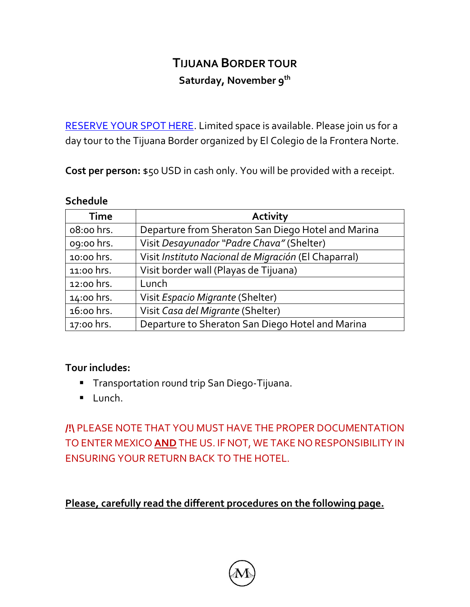# **TIJUANA BORDER TOUR Saturday, November 9th**

[RESERVE YOUR SPOT HERE.](https://docs.google.com/forms/d/e/1FAIpQLScBuRBgPfH-MSLC0ekQCBRFW_j5Zih5LqcG3aI_Fk03hnUiXQ/viewform) Limited space is available. Please join us for a day tour to the Tijuana Border organized by El Colegio de la Frontera Norte.

**Cost per person:** \$50 USD in cash only. You will be provided with a receipt.

#### **Schedule**

| <b>Time</b> | <b>Activity</b>                                      |
|-------------|------------------------------------------------------|
| 08:00 hrs.  | Departure from Sheraton San Diego Hotel and Marina   |
| 09:00 hrs.  | Visit Desayunador "Padre Chava" (Shelter)            |
| 10:00 hrs.  | Visit Instituto Nacional de Migración (El Chaparral) |
| 11:00 hrs.  | Visit border wall (Playas de Tijuana)                |
| 12:00 hrs.  | Lunch                                                |
| 14:00 hrs.  | Visit Espacio Migrante (Shelter)                     |
| 16:00 hrs.  | Visit Casa del Migrante (Shelter)                    |
| 17:00 hrs.  | Departure to Sheraton San Diego Hotel and Marina     |

### **Tour includes:**

- **Transportation round trip San Diego-Tijuana.**
- Lunch.

**/!\** PLEASE NOTE THAT YOU MUST HAVE THE PROPER DOCUMENTATION TO ENTER MEXICO **AND** THE US. IF NOT, WE TAKE NO RESPONSIBILITY IN ENSURING YOUR RETURN BACK TO THE HOTEL.

**Please, carefully read the different procedures on the following page.**